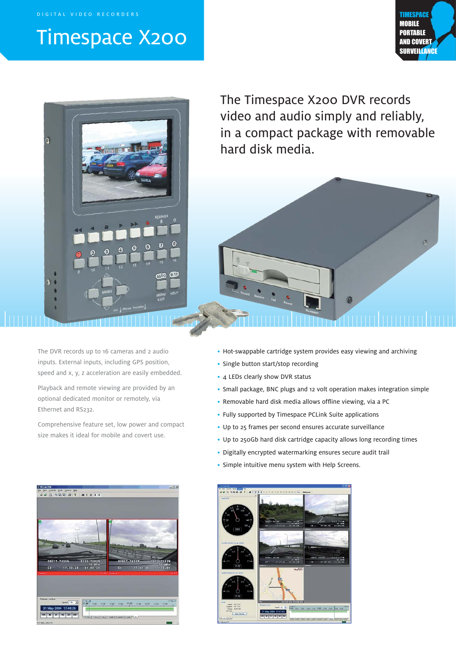DIGITAL VIDEO RECORDERS

# Timespace X200





The Timespace X200 DVR records video and audio simply and reliably, in a compact package with removable hard disk media.



Playback and remote viewing are provided by an optional dedicated monitor or remotely, via Ethernet and RS232.

Comprehensive feature set, low power and compact size makes it ideal for mobile and covert use.

- Hot-swappable cartridge system provides easy viewing and archiving
- Single button start/stop recording
- 4 LEDs clearly show DVR status
- Small package, BNC plugs and 12 volt operation makes integration simple
- Removable hard disk media allows offline viewing, via a PC
- Fully supported by Timespace PCLink Suite applications
- Up to 25 frames per second ensures accurate surveillance
- Up to 250Gb hard disk cartridge capacity allows long recording times
- Digitally encrypted watermarking ensures secure audit trail
- Simple intuitive menu system with Help Screens.